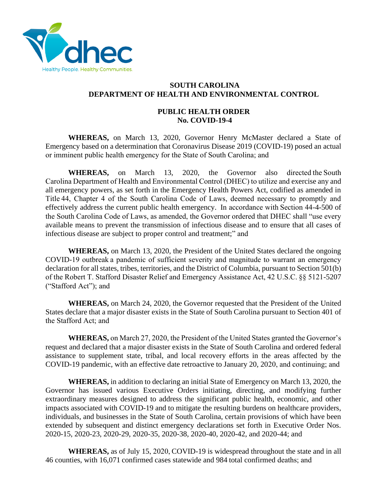

## **SOUTH CAROLINA DEPARTMENT OF HEALTH AND ENVIRONMENTAL CONTROL**

## **PUBLIC HEALTH ORDER No. COVID-19-4**

**WHEREAS,** on March 13, 2020, Governor Henry McMaster declared a State of Emergency based on a determination that Coronavirus Disease 2019 (COVID-19) posed an actual or imminent public health emergency for the State of South Carolina; and 

WHEREAS, on March 13, 2020, the Governor also directed the South Carolina Department of Health and Environmental Control (DHEC) to utilize and exercise any and all emergency powers, as set forth in the Emergency Health Powers Act, codified as amended in Title 44, Chapter 4 of the South Carolina Code of Laws, deemed necessary to promptly and effectively address the current public health emergency. In accordance with Section 44-4-500 of the South Carolina Code of Laws, as amended, the Governor ordered that DHEC shall "use every available means to prevent the transmission of infectious disease and to ensure that all cases of infectious disease are subject to proper control and treatment;" and 

**WHEREAS,** on March 13, 2020, the President of the United States declared the ongoing COVID-19 outbreak a pandemic of sufficient severity and magnitude to warrant an emergency declaration for all states, tribes, territories, and the District of Columbia, pursuant to Section 501(b) of the Robert T. Stafford Disaster Relief and Emergency Assistance Act, 42 U.S.C. §§ 5121-5207 ("Stafford Act"); and 

**WHEREAS,** on March 24, 2020, the Governor requested that the President of the United States declare that a major disaster exists in the State of South Carolina pursuant to Section 401 of the Stafford Act; and 

**WHEREAS,** on March 27, 2020, the President of the United States granted the Governor's request and declared that a major disaster exists in the State of South Carolina and ordered federal assistance to supplement state, tribal, and local recovery efforts in the areas affected by the COVID-19 pandemic, with an effective date retroactive to January 20, 2020, and continuing; and 

**WHEREAS,** in addition to declaring an initial State of Emergency on March 13, 2020, the Governor has issued various Executive Orders initiating, directing, and modifying further extraordinary measures designed to address the significant public health, economic, and other impacts associated with COVID-19 and to mitigate the resulting burdens on healthcare providers, individuals, and businesses in the State of South Carolina, certain provisions of which have been extended by subsequent and distinct emergency declarations set forth in Executive Order Nos. 2020-15, 2020-23, 2020-29, 2020-35, 2020-38, 2020-40, 2020-42, and 2020-44; and

**WHEREAS,** as of July 15, 2020, COVID-19 is widespread throughout the state and in all 46 counties, with 16,071 confirmed cases statewide and 984 total confirmed deaths; and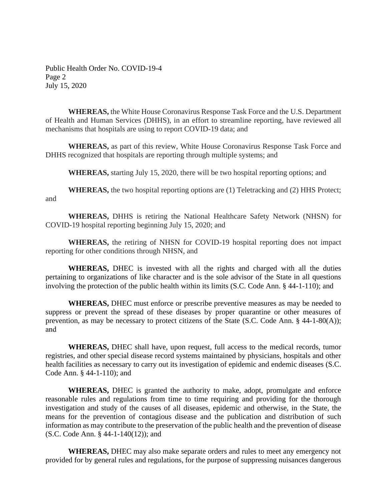Public Health Order No. COVID-19-4 Page 2 July 15, 2020

**WHEREAS,** the White House Coronavirus Response Task Force and the U.S. Department of Health and Human Services (DHHS), in an effort to streamline reporting, have reviewed all mechanisms that hospitals are using to report COVID-19 data; and

**WHEREAS,** as part of this review, White House Coronavirus Response Task Force and DHHS recognized that hospitals are reporting through multiple systems; and

**WHEREAS,** starting July 15, 2020, there will be two hospital reporting options; and

**WHEREAS,** the two hospital reporting options are (1) Teletracking and (2) HHS Protect; and

**WHEREAS,** DHHS is retiring the National Healthcare Safety Network (NHSN) for COVID-19 hospital reporting beginning July 15, 2020; and

**WHEREAS,** the retiring of NHSN for COVID-19 hospital reporting does not impact reporting for other conditions through NHSN, and

**WHEREAS,** DHEC is invested with all the rights and charged with all the duties pertaining to organizations of like character and is the sole advisor of the State in all questions involving the protection of the public health within its limits (S.C. Code Ann. § 44-1-110); and

**WHEREAS,** DHEC must enforce or prescribe preventive measures as may be needed to suppress or prevent the spread of these diseases by proper quarantine or other measures of prevention, as may be necessary to protect citizens of the State (S.C. Code Ann. § 44-1-80(A)); and 

**WHEREAS,** DHEC shall have, upon request, full access to the medical records, tumor registries, and other special disease record systems maintained by physicians, hospitals and other health facilities as necessary to carry out its investigation of epidemic and endemic diseases (S.C. Code Ann. § 44-1-110); and

**WHEREAS,** DHEC is granted the authority to make, adopt, promulgate and enforce reasonable rules and regulations from time to time requiring and providing for the thorough investigation and study of the causes of all diseases, epidemic and otherwise, in the State, the means for the prevention of contagious disease and the publication and distribution of such information as may contribute to the preservation of the public health and the prevention of disease (S.C. Code Ann. § 44-1-140(12)); and

**WHEREAS,** DHEC may also make separate orders and rules to meet any emergency not provided for by general rules and regulations, for the purpose of suppressing nuisances dangerous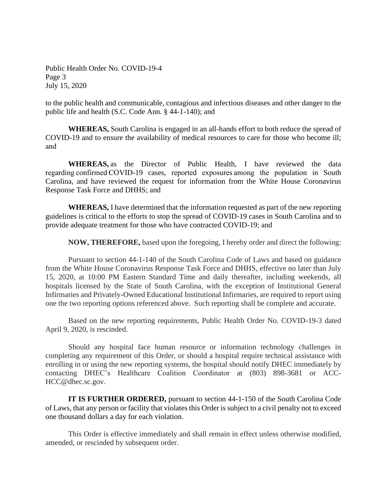Public Health Order No. COVID-19-4 Page 3 July 15, 2020

to the public health and communicable, contagious and infectious diseases and other danger to the public life and health (S.C. Code Ann. § 44-1-140); and

**WHEREAS,** South Carolina is engaged in an all-hands effort to both reduce the spread of COVID-19 and to ensure the availability of medical resources to care for those who become ill; and 

**WHEREAS,** as the Director of Public Health, I have reviewed the data regarding confirmed COVID-19 cases, reported exposures among the population in South Carolina, and have reviewed the request for information from the White House Coronavirus Response Task Force and DHHS; and

**WHEREAS,** I have determined that the information requested as part of the new reporting guidelines is critical to the efforts to stop the spread of COVID-19 cases in South Carolina and to provide adequate treatment for those who have contracted COVID-19; and

**NOW, THEREFORE,** based upon the foregoing, I hereby order and direct the following:

Pursuant to section 44-1-140 of the South Carolina Code of Laws and based on guidance from the White House Coronavirus Response Task Force and DHHS, effective no later than July 15, 2020, at 10:00 PM Eastern Standard Time and daily thereafter, including weekends, all hospitals licensed by the State of South Carolina, with the exception of Institutional General Infirmaries and Privately-Owned Educational Institutional Infirmaries, are required to report using one the two reporting options referenced above. Such reporting shall be complete and accurate.

Based on the new reporting requirements, Public Health Order No. COVID-19-3 dated April 9, 2020, is rescinded.

Should any hospital face human resource or information technology challenges in completing any requirement of this Order, or should a hospital require technical assistance with enrolling in or using the new reporting systems, the hospital should notify DHEC immediately by contacting DHEC's Healthcare Coalition Coordinator at (803) 898-3681 or ACC-HCC@dhec.sc.gov.

**IT IS FURTHER ORDERED,** pursuant to section 44-1-150 of the South Carolina Code of Laws, that any person or facility that violates this Order is subject to a civil penalty not to exceed one thousand dollars a day for each violation.

This Order is effective immediately and shall remain in effect unless otherwise modified, amended, or rescinded by subsequent order.